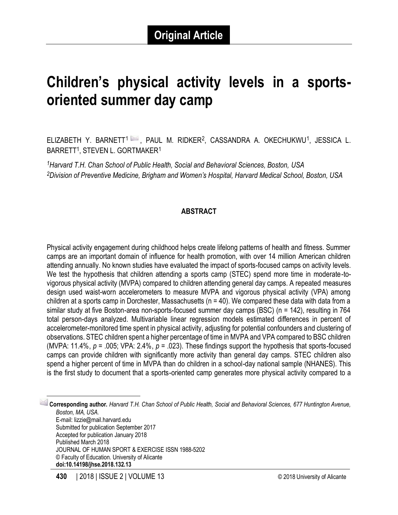# **Children's physical activity levels in a sportsoriented summer day camp**

ELIZABETH Y. BARNETT<sup>1</sup> , PAUL M. RIDKER<sup>2</sup>, CASSANDRA A. OKECHUKWU<sup>1</sup>, JESSICA L. BARRETT<sup>1</sup>, STEVEN L. GORTMAKER<sup>1</sup>

*<sup>1</sup>Harvard T.H. Chan School of Public Health, Social and Behavioral Sciences, Boston, USA <sup>2</sup>Division of Preventive Medicine, Brigham and Women's Hospital, Harvard Medical School, Boston, USA*

#### **ABSTRACT**

Physical activity engagement during childhood helps create lifelong patterns of health and fitness. Summer camps are an important domain of influence for health promotion, with over 14 million American children attending annually. No known studies have evaluated the impact of sports-focused camps on activity levels. We test the hypothesis that children attending a sports camp (STEC) spend more time in moderate-tovigorous physical activity (MVPA) compared to children attending general day camps. A repeated measures design used waist-worn accelerometers to measure MVPA and vigorous physical activity (VPA) among children at a sports camp in Dorchester, Massachusetts (n = 40). We compared these data with data from a similar study at five Boston-area non-sports-focused summer day camps (BSC) (n = 142), resulting in 764 total person-days analyzed. Multivariable linear regression models estimated differences in percent of accelerometer-monitored time spent in physical activity, adjusting for potential confounders and clustering of observations. STEC children spent a higher percentage of time in MVPA and VPA compared to BSC children (MVPA: 11.4%, *p* = .005; VPA: 2.4%, *p* = .023). These findings support the hypothesis that sports-focused camps can provide children with significantly more activity than general day camps. STEC children also spend a higher percent of time in MVPA than do children in a school-day national sample (NHANES). This is the first study to document that a sports-oriented camp generates more physical activity compared to a

1 **Corresponding author.** *Harvard T.H. Chan School of Public Health, Social and Behavioral Sciences, 677 Huntington Avenue, Boston, MA, USA.* E-mail: lizzie@mail.harvard.edu Submitted for publication September 2017 Accepted for publication January 2018 Published March 2018 JOURNAL OF HUMAN SPORT & EXERCISE ISSN 1988-5202 © Faculty of Education. University of Alicante **doi:10.14198/jhse.2018.132.13**

 $\overline{\phantom{a}}$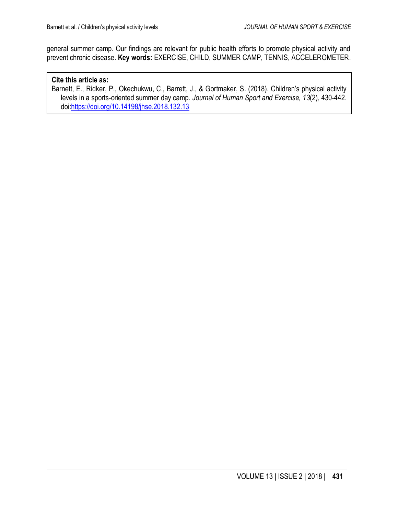general summer camp. Our findings are relevant for public health efforts to promote physical activity and prevent chronic disease. **Key words:** EXERCISE, CHILD, SUMMER CAMP, TENNIS, ACCELEROMETER.

#### **Cite this article as:**

Barnett, E., Ridker, P., Okechukwu, C., Barrett, J., & Gortmaker, S. (2018). Children's physical activity levels in a sports-oriented summer day camp. *Journal of Human Sport and Exercise, 13*(2), 430-442. doi[:https://doi.org/10.14198/jhse.2018.132.13](https://doi.org/10.14198/jhse.2018.132.13)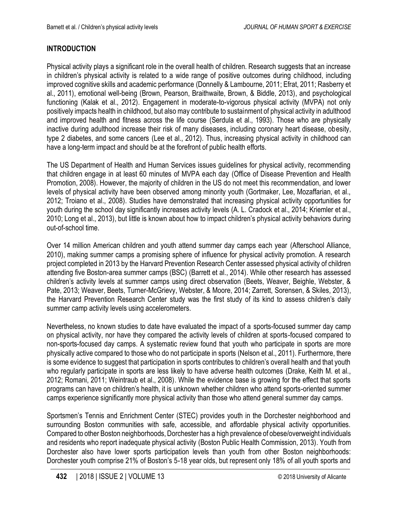# **INTRODUCTION**

Physical activity plays a significant role in the overall health of children. Research suggests that an increase in children's physical activity is related to a wide range of positive outcomes during childhood, including improved cognitive skills and academic performance (Donnelly & Lambourne, 2011; Efrat, 2011; Rasberry et al., 2011), emotional well-being (Brown, Pearson, Braithwaite, Brown, & Biddle, 2013), and psychological functioning (Kalak et al., 2012). Engagement in moderate-to-vigorous physical activity (MVPA) not only positively impacts health in childhood, but also may contribute to sustainment of physical activity in adulthood and improved health and fitness across the life course (Serdula et al., 1993). Those who are physically inactive during adulthood increase their risk of many diseases, including coronary heart disease, obesity, type 2 diabetes, and some cancers (Lee et al., 2012). Thus, increasing physical activity in childhood can have a long-term impact and should be at the forefront of public health efforts.

The US Department of Health and Human Services issues guidelines for physical activity, recommending that children engage in at least 60 minutes of MVPA each day (Office of Disease Prevention and Health Promotion, 2008). However, the majority of children in the US do not meet this recommendation, and lower levels of physical activity have been observed among minority youth (Gortmaker, Lee, Mozaffarian, et al., 2012; Troiano et al., 2008). Studies have demonstrated that increasing physical activity opportunities for youth during the school day significantly increases activity levels (A. L. Cradock et al., 2014; Kriemler et al., 2010; Long et al., 2013), but little is known about how to impact children's physical activity behaviors during out-of-school time.

Over 14 million American children and youth attend summer day camps each year (Afterschool Alliance, 2010), making summer camps a promising sphere of influence for physical activity promotion. A research project completed in 2013 by the Harvard Prevention Research Center assessed physical activity of children attending five Boston-area summer camps (BSC) (Barrett et al., 2014). While other research has assessed children's activity levels at summer camps using direct observation (Beets, Weaver, Beighle, Webster, & Pate, 2013; Weaver, Beets, Turner-McGrievy, Webster, & Moore, 2014; Zarrett, Sorensen, & Skiles, 2013), the Harvard Prevention Research Center study was the first study of its kind to assess children's daily summer camp activity levels using accelerometers.

Nevertheless, no known studies to date have evaluated the impact of a sports-focused summer day camp on physical activity, nor have they compared the activity levels of children at sports-focused compared to non-sports-focused day camps. A systematic review found that youth who participate in sports are more physically active compared to those who do not participate in sports (Nelson et al., 2011). Furthermore, there is some evidence to suggest that participation in sports contributes to children's overall health and that youth who regularly participate in sports are less likely to have adverse health outcomes (Drake, Keith M. et al., 2012; Romani, 2011; Weintraub et al., 2008). While the evidence base is growing for the effect that sports programs can have on children's health, it is unknown whether children who attend sports-oriented summer camps experience significantly more physical activity than those who attend general summer day camps.

Sportsmen's Tennis and Enrichment Center (STEC) provides youth in the Dorchester neighborhood and surrounding Boston communities with safe, accessible, and affordable physical activity opportunities. Compared to other Boston neighborhoods, Dorchester has a high prevalence of obese/overweight individuals and residents who report inadequate physical activity (Boston Public Health Commission, 2013). Youth from Dorchester also have lower sports participation levels than youth from other Boston neighborhoods: Dorchester youth comprise 21% of Boston's 5-18 year olds, but represent only 18% of all youth sports and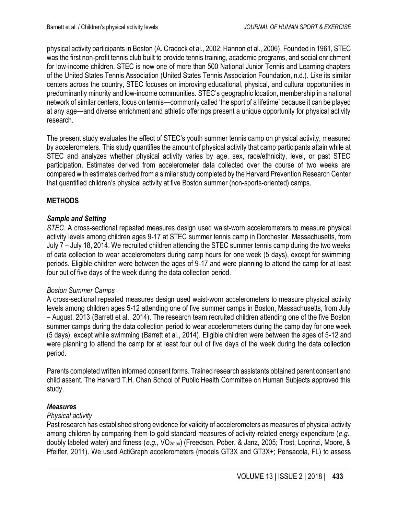physical activity participants in Boston (A. Cradock et al., 2002; Hannon et al., 2006). Founded in 1961, STEC was the first non-profit tennis club built to provide tennis training, academic programs, and social enrichment for low-income children. STEC is now one of more than 500 National Junior Tennis and Learning chapters of the United States Tennis Association (United States Tennis Association Foundation, n.d.). Like its similar centers across the country, STEC focuses on improving educational, physical, and cultural opportunities in predominantly minority and low-income communities. STEC's geographic location, membership in a national network of similar centers, focus on tennis—commonly called 'the sport of a lifetime' because it can be played at any age—and diverse enrichment and athletic offerings present a unique opportunity for physical activity research.

The present study evaluates the effect of STEC's youth summer tennis camp on physical activity, measured by accelerometers. This study quantifies the amount of physical activity that camp participants attain while at STEC and analyzes whether physical activity varies by age, sex, race/ethnicity, level, or past STEC participation. Estimates derived from accelerometer data collected over the course of two weeks are compared with estimates derived from a similar study completed by the Harvard Prevention Research Center that quantified children's physical activity at five Boston summer (non-sports-oriented) camps.

## **METHODS**

#### *Sample and Setting*

*STEC*. A cross-sectional repeated measures design used waist-worn accelerometers to measure physical activity levels among children ages 9-17 at STEC summer tennis camp in Dorchester, Massachusetts, from July 7 – July 18, 2014. We recruited children attending the STEC summer tennis camp during the two weeks of data collection to wear accelerometers during camp hours for one week (5 days), except for swimming periods. Eligible children were between the ages of 9-17 and were planning to attend the camp for at least four out of five days of the week during the data collection period.

#### *Boston Summer Camps*

A cross-sectional repeated measures design used waist-worn accelerometers to measure physical activity levels among children ages 5-12 attending one of five summer camps in Boston, Massachusetts, from July – August, 2013 (Barrett et al., 2014). The research team recruited children attending one of the five Boston summer camps during the data collection period to wear accelerometers during the camp day for one week (5 days), except while swimming (Barrett et al., 2014). Eligible children were between the ages of 5-12 and were planning to attend the camp for at least four out of five days of the week during the data collection period.

Parents completed written informed consent forms. Trained research assistants obtained parent consent and child assent. The Harvard T.H. Chan School of Public Health Committee on Human Subjects approved this study.

## *Measures*

#### *Physical activity*

Past research has established strong evidence for validity of accelerometers as measures of physical activity among children by comparing them to gold standard measures of activity-related energy expenditure (*e.g.,*  doubly labeled water) and fitness (*e.g.,* VO2max) (Freedson, Pober, & Janz, 2005; Trost, Loprinzi, Moore, & Pfeiffer, 2011). We used ActiGraph accelerometers (models GT3X and GT3X+; Pensacola, FL) to assess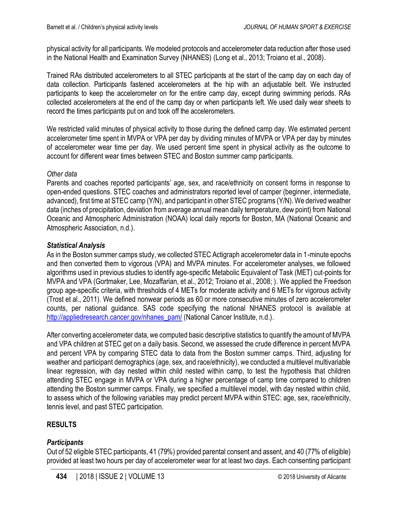physical activity for all participants. We modeled protocols and accelerometer data reduction after those used in the National Health and Examination Survey (NHANES) (Long et al., 2013; Troiano et al., 2008).

Trained RAs distributed accelerometers to all STEC participants at the start of the camp day on each day of data collection. Participants fastened accelerometers at the hip with an adjustable belt. We instructed participants to keep the accelerometer on for the entire camp day, except during swimming periods. RAs collected accelerometers at the end of the camp day or when participants left. We used daily wear sheets to record the times participants put on and took off the accelerometers.

We restricted valid minutes of physical activity to those during the defined camp day. We estimated percent accelerometer time spent in MVPA or VPA per day by dividing minutes of MVPA or VPA per day by minutes of accelerometer wear time per day. We used percent time spent in physical activity as the outcome to account for different wear times between STEC and Boston summer camp participants.

#### *Other data*

Parents and coaches reported participants' age, sex, and race/ethnicity on consent forms in response to open-ended questions. STEC coaches and administrators reported level of camper (beginner, intermediate, advanced), first time at STEC camp (Y/N), and participant in other STEC programs (Y/N). We derived weather data (inches of precipitation, deviation from average annual mean daily temperature, dew point) from [National](http://www.noaa.gov/)  [Oceanic and Atmospheric Administration](http://www.noaa.gov/) (NOAA) local daily reports for Boston, MA (National Oceanic and Atmospheric Association, n.d.).

## *Statistical Analysis*

As in the Boston summer camps study, we collected STEC Actigraph accelerometer data in 1-minute epochs and then converted them to vigorous (VPA) and MVPA minutes. For accelerometer analyses, we followed algorithms used in previous studies to identify age-specific Metabolic Equivalent of Task (MET) cut-points for MVPA and VPA (Gortmaker, Lee, Mozaffarian, et al., 2012; Troiano et al., 2008; ). We applied the Freedson group age-specific criteria, with thresholds of 4 METs for moderate activity and 6 METs for vigorous activity (Trost et al., 2011). We defined nonwear periods as 60 or more consecutive minutes of zero accelerometer counts, per national guidance. SAS code specifying the national NHANES protocol is available at [http://appliedresearch.cancer.gov/nhanes\\_pam/](http://appliedresearch.cancer.gov/nhanes_pam/) (National Cancer Institute, n.d.).

After converting accelerometer data, we computed basic descriptive statistics to quantify the amount of MVPA and VPA children at STEC get on a daily basis. Second, we assessed the crude difference in percent MVPA and percent VPA by comparing STEC data to data from the Boston summer camps. Third, adjusting for weather and participant demographics (age, sex, and race/ethnicity), we conducted a multilevel multivariable linear regression, with day nested within child nested within camp, to test the hypothesis that children attending STEC engage in MVPA or VPA during a higher percentage of camp time compared to children attending the Boston summer camps. Finally, we specified a multilevel model, with day nested within child, to assess which of the following variables may predict percent MVPA within STEC: age, sex, race/ethnicity, tennis level, and past STEC participation.

## **RESULTS**

## *Participants*

Out of 52 eligible STEC participants, 41 (79%) provided parental consent and assent, and 40 (77% of eligible) provided at least two hours per day of accelerometer wear for at least two days. Each consenting participant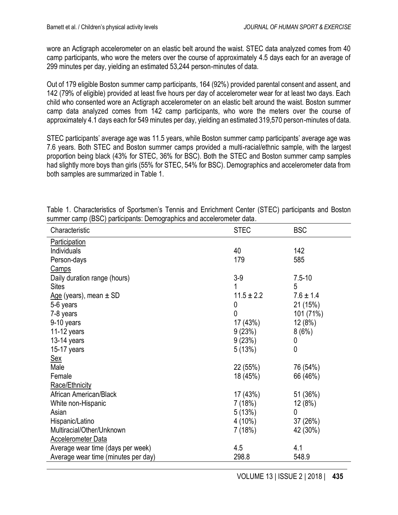wore an Actigraph accelerometer on an elastic belt around the waist. STEC data analyzed comes from 40 camp participants, who wore the meters over the course of approximately 4.5 days each for an average of 299 minutes per day, yielding an estimated 53,244 person-minutes of data.

Out of 179 eligible Boston summer camp participants, 164 (92%) provided parental consent and assent, and 142 (79% of eligible) provided at least five hours per day of accelerometer wear for at least two days. Each child who consented wore an Actigraph accelerometer on an elastic belt around the waist. Boston summer camp data analyzed comes from 142 camp participants, who wore the meters over the course of approximately 4.1 days each for 549 minutes per day, yielding an estimated 319,570 person-minutes of data.

STEC participants' average age was 11.5 years, while Boston summer camp participants' average age was 7.6 years. Both STEC and Boston summer camps provided a multi-racial/ethnic sample, with the largest proportion being black (43% for STEC, 36% for BSC). Both the STEC and Boston summer camp samples had slightly more boys than girls (55% for STEC, 54% for BSC). Demographics and accelerometer data from both samples are summarized in Table 1.

| Characteristic                      | <b>STEC</b>    | <b>BSC</b>    |
|-------------------------------------|----------------|---------------|
| Participation                       |                |               |
| Individuals                         | 40             | 142           |
| Person-days                         | 179            | 585           |
| <b>Camps</b>                        |                |               |
| Daily duration range (hours)        | $3-9$          | $7.5 - 10$    |
| <b>Sites</b>                        | 1              | 5             |
| Age (years), mean ± SD              | $11.5 \pm 2.2$ | $7.6 \pm 1.4$ |
| 5-6 years                           | 0              | 21 (15%)      |
| 7-8 years                           | 0              | 101 (71%)     |
| 9-10 years                          | 17 (43%)       | 12(8%)        |
| $11-12$ years                       | 9(23%)         | 8(6%)         |
| $13-14$ years                       | 9(23%)         | 0             |
| $15-17$ years                       | 5(13%)         | 0             |
| <u>Sex</u>                          |                |               |
| Male                                | 22 (55%)       | 76 (54%)      |
| Female                              | 18 (45%)       | 66 (46%)      |
| Race/Ethnicity                      |                |               |
| African American/Black              | 17 (43%)       | 51 (36%)      |
| White non-Hispanic                  | 7 (18%)        | 12(8%)        |
| Asian                               | 5(13%)         | 0             |
| Hispanic/Latino                     | 4 (10%)        | 37(26%)       |
| Multiracial/Other/Unknown           | 7 (18%)        | 42 (30%)      |
| <b>Accelerometer Data</b>           |                |               |
| Average wear time (days per week)   | 4.5            | 4.1           |
| Average wear time (minutes per day) | 298.8          | 548.9         |

Table 1. Characteristics of Sportsmen's Tennis and Enrichment Center (STEC) participants and Boston summer camp (BSC) participants: Demographics and accelerometer data.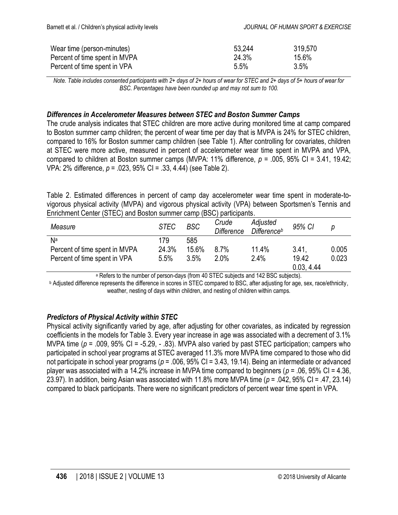| Wear time (person-minutes)    | 53.244 | 319,570 |
|-------------------------------|--------|---------|
| Percent of time spent in MVPA | 24.3%  | 15.6%   |
| Percent of time spent in VPA  | 5.5%   | 3.5%    |

*Note. Table includes consented participants with 2+ days of 2+ hours of wear for STEC and 2+ days of 5+ hours of wear for BSC. Percentages have been rounded up and may not sum to 100.*

#### *Differences in Accelerometer Measures between STEC and Boston Summer Camps*

The crude analysis indicates that STEC children are more active during monitored time at camp compared to Boston summer camp children; the percent of wear time per day that is MVPA is 24% for STEC children, compared to 16% for Boston summer camp children (see Table 1). After controlling for covariates, children at STEC were more active, measured in percent of accelerometer wear time spent in MVPA and VPA, compared to children at Boston summer camps (MVPA: 11% difference, *p* = .005, 95% CI = 3.41, 19.42; VPA: 2% difference, *p* = .023, 95% CI = .33, 4.44) (see Table 2).

Table 2. Estimated differences in percent of camp day accelerometer wear time spent in moderate-tovigorous physical activity (MVPA) and vigorous physical activity (VPA) between Sportsmen's Tennis and Enrichment Center (STEC) and Boston summer camp (BSC) participants.

| Measure                       | <b>STEC</b> | <b>BSC</b> | Crude<br><b>Difference</b> | Adjusted<br><b>Difference</b> b | 95% CI              | р     |
|-------------------------------|-------------|------------|----------------------------|---------------------------------|---------------------|-------|
| Na                            | 179         | 585        |                            |                                 |                     |       |
| Percent of time spent in MVPA | 24.3%       | 15.6%      | 8.7%                       | 11.4%                           | 3.41.               | 0.005 |
| Percent of time spent in VPA  | 5.5%        | 3.5%       | 2.0%                       | 2.4%                            | 19.42<br>0.03, 4.44 | 0.023 |

<sup>a</sup> Refers to the number of person-days (from 40 STEC subjects and 142 BSC subjects).

<sup>b</sup> Adjusted difference represents the difference in scores in STEC compared to BSC, after adjusting for age, sex, race/ethnicity, weather, nesting of days within children, and nesting of children within camps.

#### *Predictors of Physical Activity within STEC*

Physical activity significantly varied by age, after adjusting for other covariates, as indicated by regression coefficients in the models for Table 3. Every year increase in age was associated with a decrement of 3.1% MVPA time (*p* = .009, 95% CI = -5.29, - .83). MVPA also varied by past STEC participation; campers who participated in school year programs at STEC averaged 11.3% more MVPA time compared to those who did not participate in school year programs (*p* = .006, 95% CI = 3.43, 19.14). Being an intermediate or advanced player was associated with a 14.2% increase in MVPA time compared to beginners (*p* = .06, 95% CI = 4.36, 23.97). In addition, being Asian was associated with 11.8% more MVPA time (*p* = .042, 95% CI = .47, 23.14) compared to black participants. There were no significant predictors of percent wear time spent in VPA.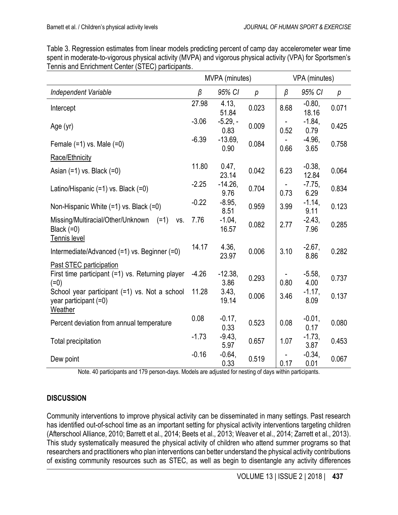| Table 3. Regression estimates from linear models predicting percent of camp day accelerometer wear time     |
|-------------------------------------------------------------------------------------------------------------|
| spent in moderate-to-vigorous physical activity (MVPA) and vigorous physical activity (VPA) for Sportsmen's |
| Tennis and Enrichment Center (STEC) participants.                                                           |

|                                                                                       | MVPA (minutes)   |                           | VPA (minutes) |         |                    |       |
|---------------------------------------------------------------------------------------|------------------|---------------------------|---------------|---------|--------------------|-------|
| Independent Variable                                                                  | $\beta$          | 95% CI                    | р             | $\beta$ | 95% CI             | р     |
| Intercept                                                                             | 27.98            | 4.13.<br>51.84            | 0.023         | 8.68    | $-0.80$ ,<br>18.16 | 0.071 |
| Age (yr)                                                                              | $-3.06$          | $-5.29. -$<br>0.83        | 0.009         | 0.52    | $-1.84$ ,<br>0.79  | 0.425 |
| Female $(=1)$ vs. Male $(=0)$                                                         | $-6.39$          | $-13.69,$<br>0.90         | 0.084         | 0.66    | $-4.96$ ,<br>3.65  | 0.758 |
| Race/Ethnicity                                                                        |                  |                           |               |         |                    |       |
| Asian $(=1)$ vs. Black $(=0)$                                                         | 11.80            | 0.47,<br>23.14            | 0.042         | 6.23    | $-0.38,$<br>12.84  | 0.064 |
| Latino/Hispanic (=1) vs. Black (=0)                                                   | $-2.25$          | $-14.26$<br>9.76          | 0.704         | 0.73    | $-7.75$<br>6.29    | 0.834 |
| Non-Hispanic White $(=1)$ vs. Black $(=0)$                                            | $-0.22$          | $-8.95,$<br>8.51          | 0.959         | 3.99    | $-1.14,$<br>9.11   | 0.123 |
| Missing/Multiracial/Other/Unknown<br>$(=1)$<br>VS.<br>Black $(=0)$<br>Tennis level    | 7.76             | $-1.04$ ,<br>16.57        | 0.082         | 2.77    | $-2.43,$<br>7.96   | 0.285 |
| Intermediate/Advanced (=1) vs. Beginner (=0)                                          | 14.17            | 4.36,<br>23.97            | 0.006         | 3.10    | $-2.67,$<br>8.86   | 0.282 |
| Past STEC participation<br>First time participant (=1) vs. Returning player<br>$(=0)$ | $-4.26$<br>11.28 | $-12.38$<br>3.86<br>3.43, | 0.293         | 0.80    | $-5.58$<br>4.00    | 0.737 |
| School year participant (=1) vs. Not a school<br>year participant $(=0)$<br>Weather   |                  | 19.14                     | 0.006         | 3.46    | $-1.17,$<br>8.09   | 0.137 |
| Percent deviation from annual temperature                                             | 0.08             | $-0.17$ ,<br>0.33         | 0.523         | 0.08    | $-0.01$ ,<br>0.17  | 0.080 |
| <b>Total precipitation</b>                                                            | $-1.73$          | $-9.43$<br>5.97           | 0.657         | 1.07    | $-1.73,$<br>3.87   | 0.453 |
| Dew point                                                                             | $-0.16$          | $-0.64,$<br>0.33          | 0.519         | 0.17    | $-0.34$ ,<br>0.01  | 0.067 |

Note. 40 participants and 179 person-days. Models are adjusted for nesting of days within participants.

# **DISCUSSION**

Community interventions to improve physical activity can be disseminated in many settings. Past research has identified out-of-school time as an important setting for physical activity interventions targeting children (Afterschool Alliance, 2010; Barrett et al., 2014; Beets et al., 2013; Weaver et al., 2014; Zarrett et al., 2013). This study systematically measured the physical activity of children who attend summer programs so that researchers and practitioners who plan interventions can better understand the physical activity contributions of existing community resources such as STEC, as well as begin to disentangle any activity differences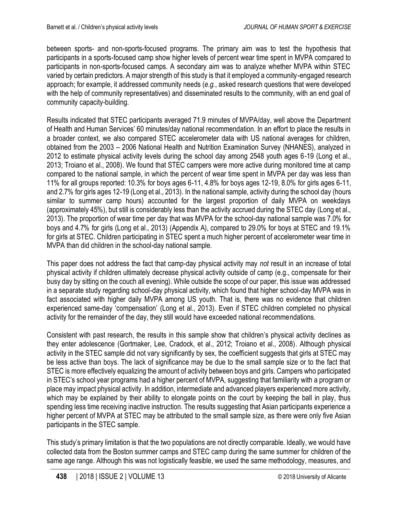between sports- and non-sports-focused programs. The primary aim was to test the hypothesis that participants in a sports-focused camp show higher levels of percent wear time spent in MVPA compared to participants in non-sports-focused camps. A secondary aim was to analyze whether MVPA within STEC varied by certain predictors. A major strength of this study is that it employed a community-engaged research approach; for example, it addressed community needs (*e.g.*, asked research questions that were developed with the help of community representatives) and disseminated results to the community, with an end goal of community capacity-building.

Results indicated that STEC participants averaged 71.9 minutes of MVPA/day, well above the Department of Health and Human Services' 60 minutes/day national recommendation. In an effort to place the results in a broader context, we also compared STEC accelerometer data with US national averages for children, obtained from the 2003 – 2006 National Health and Nutrition Examination Survey (NHANES), analyzed in 2012 to estimate physical activity levels during the school day among 2548 youth ages 6-19 (Long et al., 2013; Troiano et al., 2008). We found that STEC campers were more active during monitored time at camp compared to the national sample, in which the percent of wear time spent in MVPA per day was less than 11% for all groups reported: 10.3% for boys ages 6-11, 4.8% for boys ages 12-19, 8.0% for girls ages 6-11, and 2.7% for girls ages 12-19 (Long et al., 2013). In the national sample, activity during the school day (hours similar to summer camp hours) accounted for the largest proportion of daily MVPA on weekdays (approximately 45%), but still is considerably less than the activity accrued during the STEC day (Long et al., 2013). The proportion of wear time per day that was MVPA for the school-day national sample was 7.0% for boys and 4.7% for girls (Long et al., 2013) (Appendix A), compared to 29.0% for boys at STEC and 19.1% for girls at STEC. Children participating in STEC spent a much higher percent of accelerometer wear time in MVPA than did children in the school-day national sample.

This paper does not address the fact that camp-day physical activity may *not* result in an increase of total physical activity if children ultimately decrease physical activity outside of camp (e.g., compensate for their busy day by sitting on the couch all evening). While outside the scope of our paper, this issue was addressed in a separate study regarding school-day physical activity, which found that higher school-day MVPA was in fact associated with higher daily MVPA among US youth. That is, there was no evidence that children experienced same-day 'compensation' (Long et al., 2013). Even if STEC children completed no physical activity for the remainder of the day, they still would have exceeded national recommendations.

Consistent with past research, the results in this sample show that children's physical activity declines as they enter adolescence (Gortmaker, Lee, Cradock, et al., 2012; Troiano et al., 2008). Although physical activity in the STEC sample did not vary significantly by sex, the coefficient suggests that girls at STEC may be less active than boys. The lack of significance may be due to the small sample size or to the fact that STEC is more effectively equalizing the amount of activity between boys and girls. Campers who participated in STEC's school year programs had a higher percent of MVPA, suggesting that familiarity with a program or place may impact physical activity. In addition, intermediate and advanced players experienced more activity, which may be explained by their ability to elongate points on the court by keeping the ball in play, thus spending less time receiving inactive instruction. The results suggesting that Asian participants experience a higher percent of MVPA at STEC may be attributed to the small sample size, as there were only five Asian participants in the STEC sample.

This study's primary limitation is that the two populations are not directly comparable. Ideally, we would have collected data from the Boston summer camps and STEC camp during the same summer for children of the same age range. Although this was not logistically feasible, we used the same methodology, measures, and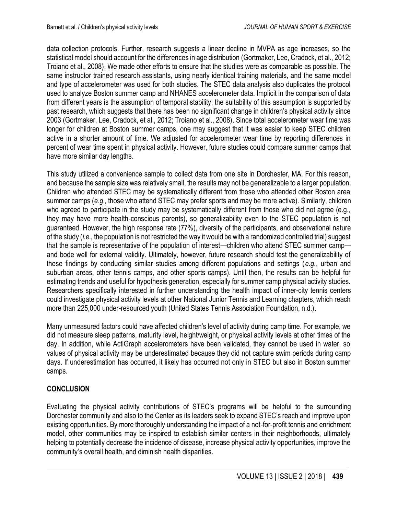data collection protocols. Further, research suggests a linear decline in MVPA as age increases, so the statistical model should account for the differences in age distribution (Gortmaker, Lee, Cradock, et al., 2012; Troiano et al., 2008). We made other efforts to ensure that the studies were as comparable as possible. The same instructor trained research assistants, using nearly identical training materials, and the same model and type of accelerometer was used for both studies. The STEC data analysis also duplicates the protocol used to analyze Boston summer camp and NHANES accelerometer data. Implicit in the comparison of data from different years is the assumption of temporal stability; the suitability of this assumption is supported by past research, which suggests that there has been no significant change in children's physical activity since 2003 (Gortmaker, Lee, Cradock, et al., 2012; Troiano et al., 2008). Since total accelerometer wear time was longer for children at Boston summer camps, one may suggest that it was easier to keep STEC children active in a shorter amount of time. We adjusted for accelerometer wear time by reporting differences in percent of wear time spent in physical activity. However, future studies could compare summer camps that have more similar day lengths.

This study utilized a convenience sample to collect data from one site in Dorchester, MA. For this reason, and because the sample size was relatively small, the results may not be generalizable to a larger population. Children who attended STEC may be systematically different from those who attended other Boston area summer camps (*e.g.,* those who attend STEC may prefer sports and may be more active). Similarly, children who agreed to participate in the study may be systematically different from those who did not agree (e.g., they may have more health-conscious parents), so generalizability even to the STEC population is not guaranteed. However, the high response rate (77%), diversity of the participants, and observational nature of the study (*i.e.,* the population is not restricted the way it would be with a randomized controlled trial) suggest that the sample is representative of the population of interest—children who attend STEC summer camp and bode well for external validity. Ultimately, however, future research should test the generalizability of these findings by conducting similar studies among different populations and settings (*e.g.*, urban and suburban areas, other tennis camps, and other sports camps). Until then, the results can be helpful for estimating trends and useful for hypothesis generation, especially for summer camp physical activity studies. Researchers specifically interested in further understanding the health impact of inner-city tennis centers could investigate physical activity levels at other National Junior Tennis and Learning chapters, which reach more than 225,000 under-resourced youth (United States Tennis Association Foundation, n.d.).

Many unmeasured factors could have affected children's level of activity during camp time. For example, we did not measure sleep patterns, maturity level, height/weight, or physical activity levels at other times of the day. In addition, while ActiGraph accelerometers have been validated, they cannot be used in water, so values of physical activity may be underestimated because they did not capture swim periods during camp days. If underestimation has occurred, it likely has occurred not only in STEC but also in Boston summer camps.

# **CONCLUSION**

Evaluating the physical activity contributions of STEC's programs will be helpful to the surrounding Dorchester community and also to the Center as its leaders seek to expand STEC's reach and improve upon existing opportunities. By more thoroughly understanding the impact of a not-for-profit tennis and enrichment model, other communities may be inspired to establish similar centers in their neighborhoods, ultimately helping to potentially decrease the incidence of disease, increase physical activity opportunities, improve the community's overall health, and diminish health disparities.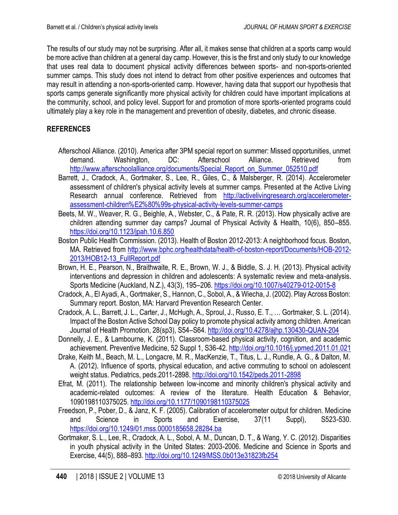The results of our study may not be surprising. After all, it makes sense that children at a sports camp would be more active than children at a general day camp. However, this is the first and only study to our knowledge that uses real data to document physical activity differences between sports- and non-sports-oriented summer camps. This study does not intend to detract from other positive experiences and outcomes that may result in attending a non-sports-oriented camp. However, having data that support our hypothesis that sports camps generate significantly more physical activity for children could have important implications at the community, school, and policy level. Support for and promotion of more sports-oriented programs could ultimately play a key role in the management and prevention of obesity, diabetes, and chronic disease.

# **REFERENCES**

- Afterschool Alliance. (2010). America after 3PM special report on summer: Missed opportunities, unmet demand. Washington, DC: Afterschool Alliance. Retrieved from [http://www.afterschoolalliance.org/documents/Special\\_Report\\_on\\_Summer\\_052510.pdf](http://www.afterschoolalliance.org/documents/Special_Report_on_Summer_052510.pdf)
- Barrett, J., Cradock, A., Gortmaker, S., Lee, R., Giles, C., & Malsberger, R. (2014). Accelerometer assessment of children's physical activity levels at summer camps. Presented at the Active Living Research annual conference. Retrieved from [http://activelivingresearch.org/accelerometer](http://activelivingresearch.org/accelerometer-assessment-children%E2%80%99s-physical-activity-levels-summer-camps)[assessment-children%E2%80%99s-physical-activity-levels-summer-camps](http://activelivingresearch.org/accelerometer-assessment-children%E2%80%99s-physical-activity-levels-summer-camps)
- Beets, M. W., Weaver, R. G., Beighle, A., Webster, C., & Pate, R. R. (2013). How physically active are children attending summer day camps? Journal of Physical Activity & Health, 10(6), 850–855. <https://doi.org/10.1123/jpah.10.6.850>
- Boston Public Health Commission. (2013). Health of Boston 2012-2013: A neighborhood focus. Boston, MA. Retrieved from [http://www.bphc.org/healthdata/health-of-boston-report/Documents/HOB-2012-](http://www.bphc.org/healthdata/health-of-boston-report/Documents/HOB-2012-2013/HOB12-13_FullReport.pdf) [2013/HOB12-13\\_FullReport.pdf](http://www.bphc.org/healthdata/health-of-boston-report/Documents/HOB-2012-2013/HOB12-13_FullReport.pdf)
- Brown, H. E., Pearson, N., Braithwaite, R. E., Brown, W. J., & Biddle, S. J. H. (2013). Physical activity interventions and depression in children and adolescents: A systematic review and meta-analysis. Sports Medicine (Auckland, N.Z.), 43(3), 195–206.<https://doi.org/10.1007/s40279-012-0015-8>
- Cradock, A., El Ayadi, A., Gortmaker, S., Hannon, C., Sobol, A., & Wiecha, J. (2002). Play Across Boston: Summary report. Boston, MA: Harvard Prevention Research Center.
- Cradock, A. L., Barrett, J. L., Carter, J., McHugh, A., Sproul, J., Russo, E. T., … Gortmaker, S. L. (2014). Impact of the Boston Active School Day policy to promote physical activity among children. American Journal of Health Promotion, 28(sp3), S54–S64.<http://doi.org/10.4278/ajhp.130430-QUAN-204>
- Donnelly, J. E., & Lambourne, K. (2011). Classroom-based physical activity, cognition, and academic achievement. Preventive Medicine, 52 Suppl 1, S36-42[. http://doi.org/10.1016/j.ypmed.2011.01.021](http://doi.org/10.1016/j.ypmed.2011.01.021)
- Drake, Keith M., Beach, M. L., Longacre, M. R., MacKenzie, T., Titus, L. J., Rundle, A. G., & Dalton, M. A. (2012). Influence of sports, physical education, and active commuting to school on adolescent weight status. Pediatrics, peds.2011-2898.<http://doi.org/10.1542/peds.2011-2898>
- Efrat, M. (2011). The relationship between low-income and minority children's physical activity and academic-related outcomes: A review of the literature. Health Education & Behavior, 1090198110375025[. http://doi.org/10.1177/1090198110375025](http://doi.org/10.1177/1090198110375025)
- Freedson, P., Pober, D., & Janz, K. F. (2005). Calibration of accelerometer output for children. Medicine and Science in Sports and Exercise, 37(11 Suppl), S523-530. <https://doi.org/10.1249/01.mss.0000185658.28284.ba>
- Gortmaker, S. L., Lee, R., Cradock, A. L., Sobol, A. M., Duncan, D. T., & Wang, Y. C. (2012). Disparities in youth physical activity in the United States: 2003-2006. Medicine and Science in Sports and Exercise, 44(5), 888–893.<http://doi.org/10.1249/MSS.0b013e31823fb254>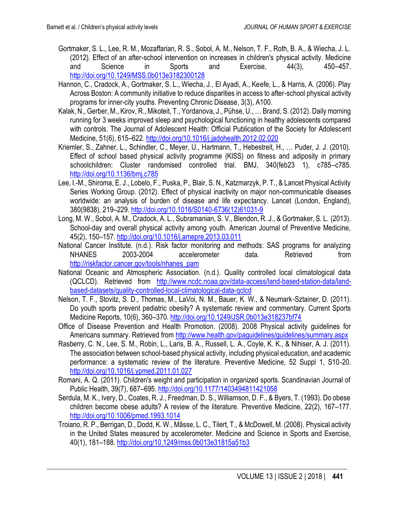- Gortmaker, S. L., Lee, R. M., Mozaffarian, R. S., Sobol, A. M., Nelson, T. F., Roth, B. A., & Wiecha, J. L. (2012). Effect of an after-school intervention on increases in children's physical activity. Medicine and Science in Sports and Exercise, 44(3), 450–457. <http://doi.org/10.1249/MSS.0b013e3182300128>
- Hannon, C., Cradock, A., Gortmaker, S. L., Wiecha, J., El Ayadi, A., Keefe, L., & Harris, A. (2006). Play Across Boston: A community initiative to reduce disparities in access to after-school physical activity programs for inner-city youths. Preventing Chronic Disease, 3(3), A100.
- Kalak, N., Gerber, M., Kirov, R., Mikoteit, T., Yordanova, J., Pühse, U., … Brand, S. (2012). Daily morning running for 3 weeks improved sleep and psychological functioning in healthy adolescents compared with controls. The Journal of Adolescent Health: Official Publication of the Society for Adolescent Medicine, 51(6), 615–622.<http://doi.org/10.1016/j.jadohealth.2012.02.020>
- Kriemler, S., Zahner, L., Schindler, C., Meyer, U., Hartmann, T., Hebestreit, H., … Puder, J. J. (2010). Effect of school based physical activity programme (KISS) on fitness and adiposity in primary schoolchildren: Cluster randomised controlled trial. BMJ, 340(feb23 1), c785–c785. <http://doi.org/10.1136/bmj.c785>
- Lee, I.-M., Shiroma, E. J., Lobelo, F., Puska, P., Blair, S. N., Katzmarzyk, P. T., & Lancet Physical Activity Series Working Group. (2012). Effect of physical inactivity on major non-communicable diseases worldwide: an analysis of burden of disease and life expectancy. Lancet (London, England), 380(9838), 219–229. [http://doi.org/10.1016/S0140-6736\(12\)61031-9](http://doi.org/10.1016/S0140-6736(12)61031-9)
- Long, M. W., Sobol, A. M., Cradock, A. L., Subramanian, S. V., Blendon, R. J., & Gortmaker, S. L. (2013). School-day and overall physical activity among youth. American Journal of Preventive Medicine, 45(2), 150–157.<http://doi.org/10.1016/j.amepre.2013.03.011>
- National Cancer Institute. (n.d.). Risk factor monitoring and methods: SAS programs for analyzing NHANES 2003-2004 accelerometer data. Retrieved from [http://riskfactor.cancer.gov/tools/nhanes\\_pam](http://riskfactor.cancer.gov/tools/nhanes_pam)
- National Oceanic and Atmospheric Association. (n.d.). Quality controlled local climatological data (QCLCD). Retrieved from [http://www.ncdc.noaa.gov/data-access/land-based-station-data/land](http://www.ncdc.noaa.gov/data-access/land-based-station-data/land-based-datasets/quality-controlled-local-climatological-data-qclcd)[based-datasets/quality-controlled-local-climatological-data-qclcd](http://www.ncdc.noaa.gov/data-access/land-based-station-data/land-based-datasets/quality-controlled-local-climatological-data-qclcd)
- Nelson, T. F., Stovitz, S. D., Thomas, M., LaVoi, N. M., Bauer, K. W., & Neumark-Sztainer, D. (2011). Do youth sports prevent pediatric obesity? A systematic review and commentary. Current Sports Medicine Reports, 10(6), 360–370.<http://doi.org/10.1249/JSR.0b013e318237bf74>
- Office of Disease Prevention and Health Promotion. (2008). 2008 Physical activity guidelines for Americans summary. Retrieved from<http://www.health.gov/paguidelines/guidelines/summary.aspx>
- Rasberry, C. N., Lee, S. M., Robin, L., Laris, B. A., Russell, L. A., Coyle, K. K., & Nihiser, A. J. (2011). The association between school-based physical activity, including physical education, and academic performance: a systematic review of the literature. Preventive Medicine, 52 Suppl 1, S10-20. <http://doi.org/10.1016/j.ypmed.2011.01.027>
- Romani, A. Q. (2011). Children's weight and participation in organized sports. Scandinavian Journal of Public Health, 39(7), 687–695.<http://doi.org/10.1177/1403494811421058>
- Serdula, M. K., Ivery, D., Coates, R. J., Freedman, D. S., Williamson, D. F., & Byers, T. (1993). Do obese children become obese adults? A review of the literature. Preventive Medicine, 22(2), 167–177. <http://doi.org/10.1006/pmed.1993.1014>
- Troiano, R. P., Berrigan, D., Dodd, K. W., Mâsse, L. C., Tilert, T., & McDowell, M. (2008). Physical activity in the United States measured by accelerometer. Medicine and Science in Sports and Exercise, 40(1), 181–188.<http://doi.org/10.1249/mss.0b013e31815a51b3>